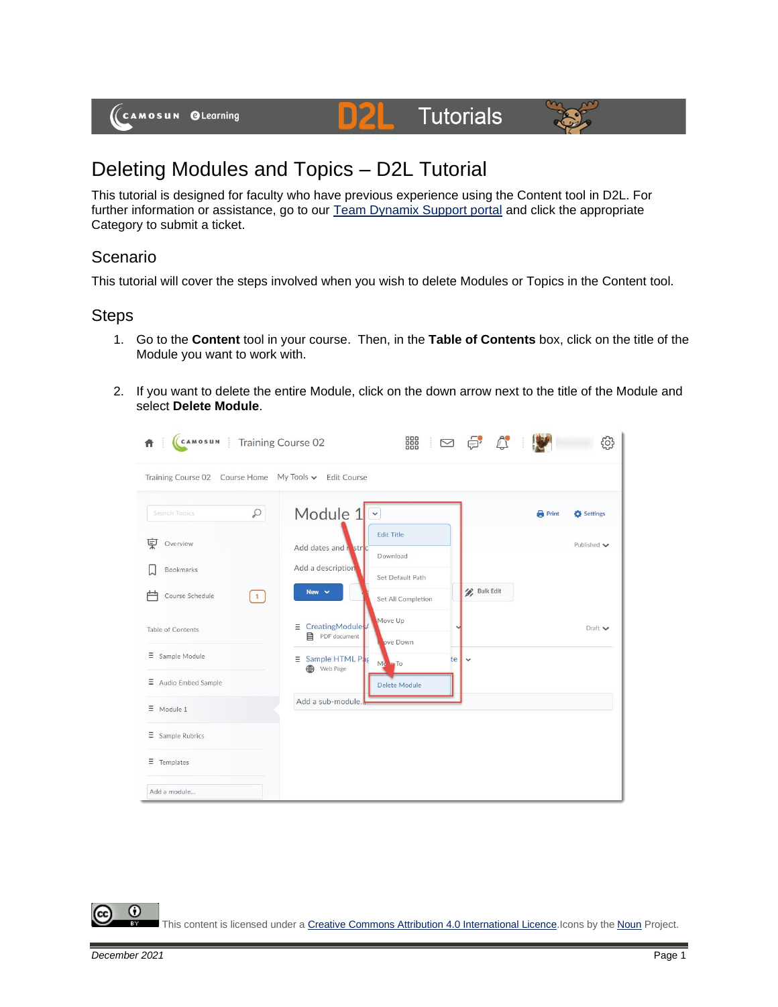(CAMOSUN @Learning

#### **Tutorials** DZI



# Deleting Modules and Topics – D2L Tutorial

This tutorial is designed for faculty who have previous experience using the Content tool in D2L. For further information or assistance, go to our [Team Dynamix Support portal](https://camosun.teamdynamix.com/TDClient/67/Portal/Requests/ServiceCatalog?CategoryID=523) and click the appropriate Category to submit a ticket.

### Scenario

This tutorial will cover the steps involved when you wish to delete Modules or Topics in the Content tool.

#### **Steps**

- 1. Go to the **Content** tool in your course. Then, in the **Table of Contents** box, click on the title of the Module you want to work with.
- 2. If you want to delete the entire Module, click on the down arrow next to the title of the Module and select **Delete Module**.



⋒ This content is licensed under [a Creative Commons Attribution 4.0 International Licence.I](https://creativecommons.org/licenses/by/4.0/)cons by the [Noun](https://creativecommons.org/website-icons/) Project.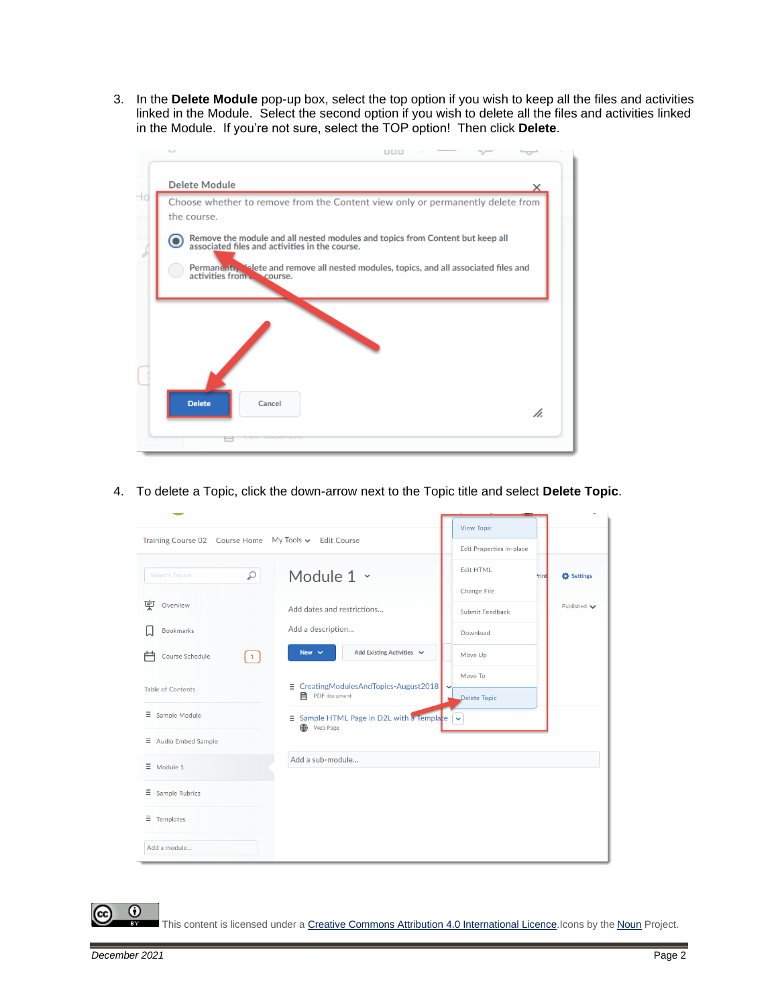3. In the **Delete Module** pop-up box, select the top option if you wish to keep all the files and activities linked in the Module. Select the second option if you wish to delete all the files and activities linked in the Module. If you're not sure, select the TOP option! Then click **Delete**.



4. To delete a Topic, click the down-arrow next to the Topic title and select **Delete Topic**.

| Training Course 02 Course Home My Tools v Edit Course                      |                                                                              | <b>View Topic</b>                |                    |
|----------------------------------------------------------------------------|------------------------------------------------------------------------------|----------------------------------|--------------------|
|                                                                            |                                                                              | <b>Edit Properties In-place</b>  |                    |
| Q<br><b>Search Topics</b>                                                  | Module 1 v                                                                   | <b>Edit HTML</b><br><b>Print</b> | Settings           |
|                                                                            |                                                                              | <b>Change File</b>               |                    |
| 莫<br>Overview                                                              | Add dates and restrictions                                                   | Submit Feedback                  | Published $\smile$ |
| <b>Bookmarks</b>                                                           | Add a description                                                            | Download                         |                    |
| <b>Course Schedule</b><br>$\left(\begin{matrix} 1 \ 1 \end{matrix}\right)$ | Add Existing Activities v<br>New $\sim$                                      | Move Up                          |                    |
| <b>Table of Contents</b>                                                   | $\equiv$ CreatingModulesAndTopics-August2018<br>PDF document                 | Move To<br>Delete Topic          |                    |
| $\equiv$ Sample Module                                                     | $\equiv$ Sample HTML Page in D2L with a Templace $\sim$<br><b>B</b> Web Page |                                  |                    |
| $\Xi$ Audio Embed Sample                                                   |                                                                              |                                  |                    |
| $\equiv$ Module 1                                                          | Add a sub-module                                                             |                                  |                    |
| $\equiv$ Sample Rubrics                                                    |                                                                              |                                  |                    |
| $\equiv$ Templates                                                         |                                                                              |                                  |                    |
| Add a module                                                               |                                                                              |                                  |                    |

This content is licensed under [a Creative Commons Attribution 4.0 International Licence.I](https://creativecommons.org/licenses/by/4.0/)cons by the [Noun](https://creativecommons.org/website-icons/) Project.

⋒